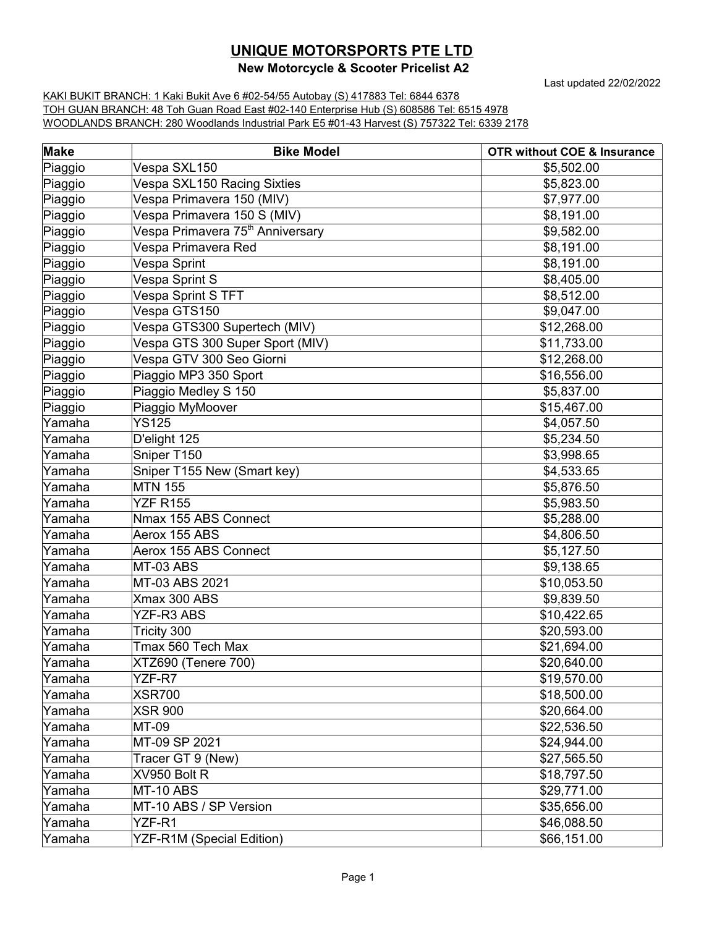## **UNIQUE MOTORSPORTS PTE LTD**

## **New Motorcycle & Scooter Pricelist A2**

Last updated 22/02/2022

KAKI BUKIT BRANCH: 1 Kaki Bukit Ave 6 #02-54/55 Autobay (S) 417883 Tel: 6844 6378 TOH GUAN BRANCH: 48 Toh Guan Road East #02-140 Enterprise Hub (S) 608586 Tel: 6515 4978 WOODLANDS BRANCH: 280 Woodlands Industrial Park E5 #01-43 Harvest (S) 757322 Tel: 6339 2178

| <b>Make</b> | <b>Bike Model</b>                            | <b>OTR without COE &amp; Insurance</b> |
|-------------|----------------------------------------------|----------------------------------------|
| Piaggio     | Vespa SXL150                                 | \$5,502.00                             |
| Piaggio     | Vespa SXL150 Racing Sixties                  | \$5,823.00                             |
| Piaggio     | Vespa Primavera 150 (MIV)                    | \$7,977.00                             |
| Piaggio     | Vespa Primavera 150 S (MIV)                  | \$8,191.00                             |
| Piaggio     | Vespa Primavera 75 <sup>th</sup> Anniversary | \$9,582.00                             |
| Piaggio     | Vespa Primavera Red                          | \$8,191.00                             |
| Piaggio     | Vespa Sprint                                 | \$8,191.00                             |
| Piaggio     | Vespa Sprint S                               | \$8,405.00                             |
| Piaggio     | Vespa Sprint S TFT                           | \$8,512.00                             |
| Piaggio     | Vespa GTS150                                 | \$9,047.00                             |
| Piaggio     | Vespa GTS300 Supertech (MIV)                 | \$12,268.00                            |
| Piaggio     | Vespa GTS 300 Super Sport (MIV)              | \$11,733.00                            |
| Piaggio     | Vespa GTV 300 Seo Giorni                     | \$12,268.00                            |
| Piaggio     | Piaggio MP3 350 Sport                        | \$16,556.00                            |
| Piaggio     | Piaggio Medley S 150                         | \$5,837.00                             |
| Piaggio     | Piaggio MyMoover                             | \$15,467.00                            |
| Yamaha      | <b>YS125</b>                                 | \$4,057.50                             |
| Yamaha      | D'elight 125                                 | \$5,234.50                             |
| Yamaha      | Sniper T150                                  | \$3,998.65                             |
| Yamaha      | Sniper T155 New (Smart key)                  | \$4,533.65                             |
| Yamaha      | <b>MTN 155</b>                               | \$5,876.50                             |
| Yamaha      | <b>YZF R155</b>                              | \$5,983.50                             |
| Yamaha      | Nmax 155 ABS Connect                         | \$5,288.00                             |
| Yamaha      | Aerox 155 ABS                                | \$4,806.50                             |
| Yamaha      | Aerox 155 ABS Connect                        | \$5,127.50                             |
| Yamaha      | MT-03 ABS                                    | \$9,138.65                             |
| Yamaha      | MT-03 ABS 2021                               | \$10,053.50                            |
| Yamaha      | Xmax 300 ABS                                 | \$9,839.50                             |
| Yamaha      | <b>YZF-R3 ABS</b>                            | \$10,422.65                            |
| Yamaha      | Tricity 300                                  | \$20,593.00                            |
| Yamaha      | Tmax 560 Tech Max                            | \$21,694.00                            |
| Yamaha      | XTZ690 (Tenere 700)                          | \$20,640.00                            |
| Yamaha      | YZF-R7                                       | \$19,570.00                            |
| Yamaha      | <b>XSR700</b>                                | \$18,500.00                            |
| Yamaha      | <b>XSR 900</b>                               | \$20,664.00                            |
| Yamaha      | MT-09                                        | \$22,536.50                            |
| Yamaha      | MT-09 SP 2021                                | \$24,944.00                            |
| Yamaha      | Tracer GT 9 (New)                            | \$27,565.50                            |
| Yamaha      | XV950 Bolt R                                 | \$18,797.50                            |
| Yamaha      | MT-10 ABS                                    | \$29,771.00                            |
| Yamaha      | MT-10 ABS / SP Version                       | \$35,656.00                            |
| Yamaha      | YZF-R1                                       | \$46,088.50                            |
| Yamaha      | YZF-R1M (Special Edition)                    | \$66,151.00                            |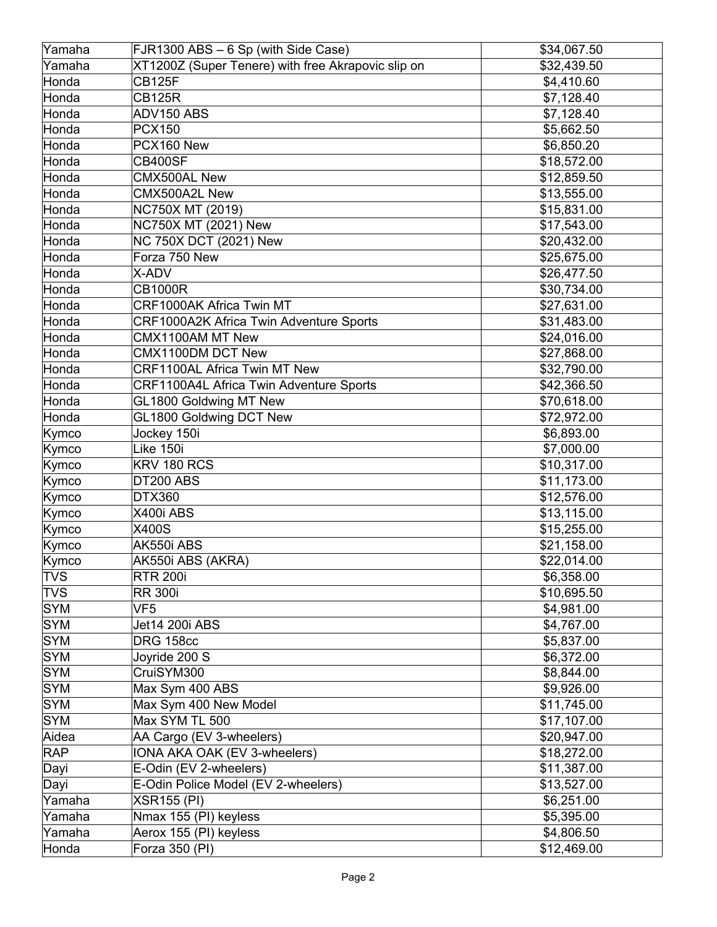| Yamaha                   | FJR1300 ABS - 6 Sp (with Side Case)                | \$34,067.50              |
|--------------------------|----------------------------------------------------|--------------------------|
| Yamaha                   | XT1200Z (Super Tenere) with free Akrapovic slip on | \$32,439.50              |
| Honda                    | <b>CB125F</b>                                      | \$4,410.60               |
| Honda                    | <b>CB125R</b>                                      | \$7,128.40               |
| Honda                    | ADV150 ABS                                         | \$7,128.40               |
| Honda                    | <b>PCX150</b>                                      | \$5,662.50               |
| Honda                    | PCX160 New                                         | \$6,850.20               |
| Honda                    | <b>CB400SF</b>                                     | \$18,572.00              |
| Honda                    | CMX500AL New                                       | \$12,859.50              |
| Honda                    | CMX500A2L New                                      | \$13,555.00              |
| Honda                    | NC750X MT (2019)                                   | \$15,831.00              |
| Honda                    | NC750X MT (2021) New                               | \$17,543.00              |
| Honda                    | NC 750X DCT (2021) New                             | \$20,432.00              |
| Honda                    | Forza 750 New                                      | \$25,675.00              |
| Honda                    | X-ADV                                              | \$26,477.50              |
| Honda                    | <b>CB1000R</b>                                     | \$30,734.00              |
| Honda                    | CRF1000AK Africa Twin MT                           | \$27,631.00              |
| Honda                    | <b>CRF1000A2K Africa Twin Adventure Sports</b>     | \$31,483.00              |
| Honda                    | CMX1100AM MT New                                   | \$24,016.00              |
| Honda                    | CMX1100DM DCT New                                  | \$27,868.00              |
| Honda                    | <b>CRF1100AL Africa Twin MT New</b>                | \$32,790.00              |
| Honda                    | CRF1100A4L Africa Twin Adventure Sports            | \$42,366.50              |
| Honda                    | GL1800 Goldwing MT New                             | \$70,618.00              |
| Honda                    | GL1800 Goldwing DCT New                            | \$72,972.00              |
| Kymco                    | Jockey 150i                                        | \$6,893.00               |
| Kymco                    | Like 150i                                          | \$7,000.00               |
| Kymco                    | KRV 180 RCS                                        | \$10,317.00              |
| Kymco                    | DT200 ABS                                          | \$11,173.00              |
|                          | <b>DTX360</b>                                      | \$12,576.00              |
| Kymco<br>Kymco           | X400i ABS                                          | \$13,115.00              |
| Kymco                    | X400S                                              | \$15,255.00              |
| Kymco                    | AK550i ABS                                         | \$21,158.00              |
|                          | AK550i ABS (AKRA)                                  | \$22,014.00              |
| Kymco<br><b>TVS</b>      |                                                    | \$6,358.00               |
| <b>TVS</b>               | <b>RTR 200i</b><br><b>RR 300i</b>                  | \$10,695.50              |
| <b>SYM</b>               | VF <sub>5</sub>                                    | \$4,981.00               |
| <b>SYM</b>               | Jet14 200i ABS                                     | \$4,767.00               |
| <b>SYM</b>               | <b>DRG 158cc</b>                                   |                          |
| <b>SYM</b>               | Joyride 200 S                                      | \$5,837.00               |
| <b>SYM</b>               | CruiSYM300                                         | \$6,372.00               |
| <b>SYM</b>               | Max Sym 400 ABS                                    | \$8,844.00<br>\$9,926.00 |
|                          |                                                    | \$11,745.00              |
| <b>SYM</b><br><b>SYM</b> | Max Sym 400 New Model                              |                          |
|                          | Max SYM TL 500                                     | \$17,107.00              |
| Aidea                    | AA Cargo (EV 3-wheelers)                           | \$20,947.00              |
| <b>RAP</b>               | IONA AKA OAK (EV 3-wheelers)                       | \$18,272.00              |
| Dayi                     | E-Odin (EV 2-wheelers)                             | \$11,387.00              |
| Dayi                     | E-Odin Police Model (EV 2-wheelers)                | \$13,527.00              |
| Yamaha                   | <b>XSR155 (PI)</b>                                 | \$6,251.00               |
| Yamaha                   | Nmax 155 (PI) keyless                              | \$5,395.00               |
| Yamaha                   | Aerox 155 (PI) keyless                             | \$4,806.50               |
| Honda                    | Forza 350 (PI)                                     | \$12,469.00              |